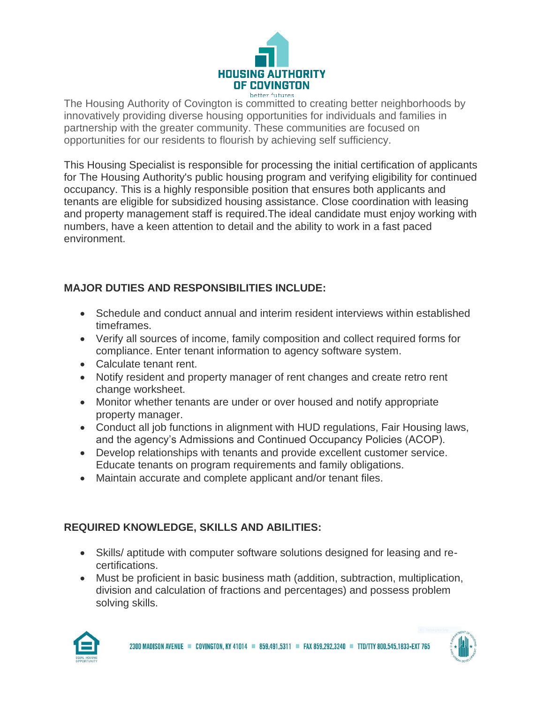

The Housing Authority of Covington is committed to creating better neighborhoods by innovatively providing diverse housing opportunities for individuals and families in partnership with the greater community. These communities are focused on opportunities for our residents to flourish by achieving self sufficiency.

This Housing Specialist is responsible for processing the initial certification of applicants for The Housing Authority's public housing program and verifying eligibility for continued occupancy. This is a highly responsible position that ensures both applicants and tenants are eligible for subsidized housing assistance. Close coordination with leasing and property management staff is required.The ideal candidate must enjoy working with numbers, have a keen attention to detail and the ability to work in a fast paced environment.

## **MAJOR DUTIES AND RESPONSIBILITIES INCLUDE:**

- Schedule and conduct annual and interim resident interviews within established timeframes.
- Verify all sources of income, family composition and collect required forms for compliance. Enter tenant information to agency software system.
- Calculate tenant rent.
- Notify resident and property manager of rent changes and create retro rent change worksheet.
- Monitor whether tenants are under or over housed and notify appropriate property manager.
- Conduct all job functions in alignment with HUD regulations, Fair Housing laws, and the agency's Admissions and Continued Occupancy Policies (ACOP).
- Develop relationships with tenants and provide excellent customer service. Educate tenants on program requirements and family obligations.
- Maintain accurate and complete applicant and/or tenant files.

## **REQUIRED KNOWLEDGE, SKILLS AND ABILITIES:**

- Skills/ aptitude with computer software solutions designed for leasing and recertifications.
- Must be proficient in basic business math (addition, subtraction, multiplication, division and calculation of fractions and percentages) and possess problem solving skills.